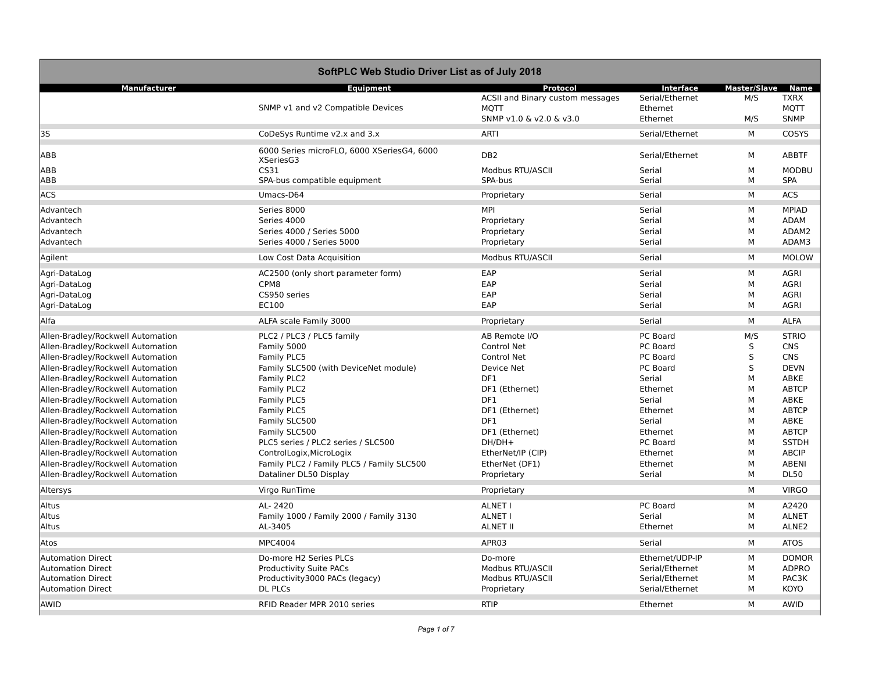| SoftPLC Web Studio Driver List as of July 2018 |                                                         |                                  |                 |                     |                   |
|------------------------------------------------|---------------------------------------------------------|----------------------------------|-----------------|---------------------|-------------------|
| <b>Manufacturer</b>                            | <b>Equipment</b>                                        | Protocol                         | Interface       | <b>Master/Slave</b> | <b>Name</b>       |
|                                                |                                                         | ACSII and Binary custom messages | Serial/Ethernet | M/S                 | <b>TXRX</b>       |
|                                                | SNMP v1 and v2 Compatible Devices                       | <b>MOTT</b>                      | Ethernet        |                     | <b>MOTT</b>       |
|                                                |                                                         | SNMP v1.0 & v2.0 & v3.0          | Ethernet        | M/S                 | <b>SNMP</b>       |
| 3S                                             | CoDeSys Runtime v2.x and 3.x                            | <b>ARTI</b>                      | Serial/Ethernet | М                   | COSYS             |
| ABB                                            | 6000 Series microFLO, 6000 XSeriesG4, 6000<br>XSeriesG3 | DB <sub>2</sub>                  | Serial/Ethernet | М                   | <b>ABBTF</b>      |
| ABB                                            | CS31                                                    | Modbus RTU/ASCII                 | Serial          | М                   | <b>MODBU</b>      |
| ABB                                            | SPA-bus compatible equipment                            | SPA-bus                          | Serial          | М                   | <b>SPA</b>        |
| <b>ACS</b>                                     | Umacs-D64                                               | Proprietary                      | Serial          | М                   | <b>ACS</b>        |
| Advantech                                      | Series 8000                                             | <b>MPI</b>                       | Serial          | М                   | <b>MPIAD</b>      |
| Advantech                                      | Series 4000                                             | Proprietary                      | Serial          | М                   | <b>ADAM</b>       |
| Advantech                                      | Series 4000 / Series 5000                               | Proprietary                      | Serial          | М                   | ADAM2             |
| Advantech                                      | Series 4000 / Series 5000                               | Proprietary                      | Serial          | М                   | ADAM3             |
| Agilent                                        | Low Cost Data Acquisition                               | Modbus RTU/ASCII                 | Serial          | М                   | <b>MOLOW</b>      |
| Agri-DataLog                                   | AC2500 (only short parameter form)                      | EAP                              | Serial          | М                   | <b>AGRI</b>       |
| Agri-DataLog                                   | CPM8                                                    | EAP                              | Serial          | М                   | <b>AGRI</b>       |
| Agri-DataLog                                   | CS950 series                                            | EAP                              | Serial          | М                   | <b>AGRI</b>       |
| Agri-DataLog                                   | EC100                                                   | EAP                              | Serial          | М                   | <b>AGRI</b>       |
|                                                |                                                         |                                  |                 |                     |                   |
| Alfa                                           | ALFA scale Family 3000                                  | Proprietary                      | Serial          | М                   | <b>ALFA</b>       |
| Allen-Bradley/Rockwell Automation              | PLC2 / PLC3 / PLC5 family                               | AB Remote I/O                    | PC Board        | M/S                 | <b>STRIO</b>      |
| Allen-Bradley/Rockwell Automation              | Family 5000                                             | Control Net                      | PC Board        | S                   | <b>CNS</b>        |
| Allen-Bradley/Rockwell Automation              | Family PLC5                                             | Control Net                      | PC Board        | S                   | <b>CNS</b>        |
| Allen-Bradley/Rockwell Automation              | Family SLC500 (with DeviceNet module)                   | Device Net                       | PC Board        | S                   | <b>DEVN</b>       |
| Allen-Bradley/Rockwell Automation              | Family PLC2                                             | DF1                              | Serial          | M                   | ABKE              |
| Allen-Bradley/Rockwell Automation              | Family PLC2                                             | DF1 (Ethernet)                   | Ethernet        | M                   | <b>ABTCP</b>      |
| Allen-Bradley/Rockwell Automation              | Family PLC5                                             | DF1                              | Serial          | М                   | ABKE              |
| Allen-Bradley/Rockwell Automation              | Family PLC5                                             | DF1 (Ethernet)                   | Ethernet        | М                   | <b>ABTCP</b>      |
| Allen-Bradley/Rockwell Automation              | Family SLC500                                           | DF1                              | Serial          | М                   | ABKE              |
| Allen-Bradley/Rockwell Automation              | Family SLC500                                           | DF1 (Ethernet)                   | Ethernet        | М                   | <b>ABTCP</b>      |
| Allen-Bradley/Rockwell Automation              | PLC5 series / PLC2 series / SLC500                      | $DH/DH+$                         | PC Board        | М                   | <b>SSTDH</b>      |
| Allen-Bradley/Rockwell Automation              | ControlLogix, MicroLogix                                | EtherNet/IP (CIP)                | Ethernet        | М                   | <b>ABCIP</b>      |
| Allen-Bradley/Rockwell Automation              | Family PLC2 / Family PLC5 / Family SLC500               | EtherNet (DF1)                   | Ethernet        | М                   | <b>ABENI</b>      |
| Allen-Bradley/Rockwell Automation              | Dataliner DL50 Display                                  | Proprietary                      | Serial          | М                   | <b>DL50</b>       |
| Altersys                                       | Virgo RunTime                                           | Proprietary                      |                 | М                   | <b>VIRGO</b>      |
| Altus                                          | AL-2420                                                 | <b>ALNET I</b>                   | PC Board        | М                   | A2420             |
| Altus                                          | Family 1000 / Family 2000 / Family 3130                 | <b>ALNET I</b>                   | Serial          | М                   | <b>ALNET</b>      |
| Altus                                          | AL-3405                                                 | <b>ALNET II</b>                  | Ethernet        | М                   | ALNE <sub>2</sub> |
| Atos                                           | MPC4004                                                 | APR03                            | Serial          | М                   | <b>ATOS</b>       |
| <b>Automation Direct</b>                       | Do-more H2 Series PLCs                                  | Do-more                          | Ethernet/UDP-IP | М                   | <b>DOMOR</b>      |
| <b>Automation Direct</b>                       | Productivity Suite PACs                                 | Modbus RTU/ASCII                 | Serial/Ethernet | М                   | <b>ADPRO</b>      |
| <b>Automation Direct</b>                       | Productivity3000 PACs (legacy)                          | Modbus RTU/ASCII                 | Serial/Ethernet | М                   | PAC3K             |
| Automation Direct                              | <b>DL PLCs</b>                                          | Proprietary                      | Serial/Ethernet | М                   | <b>KOYO</b>       |
| <b>AWID</b>                                    | RFID Reader MPR 2010 series                             | <b>RTIP</b>                      | Ethernet        | м                   | AWID              |
|                                                |                                                         |                                  |                 |                     |                   |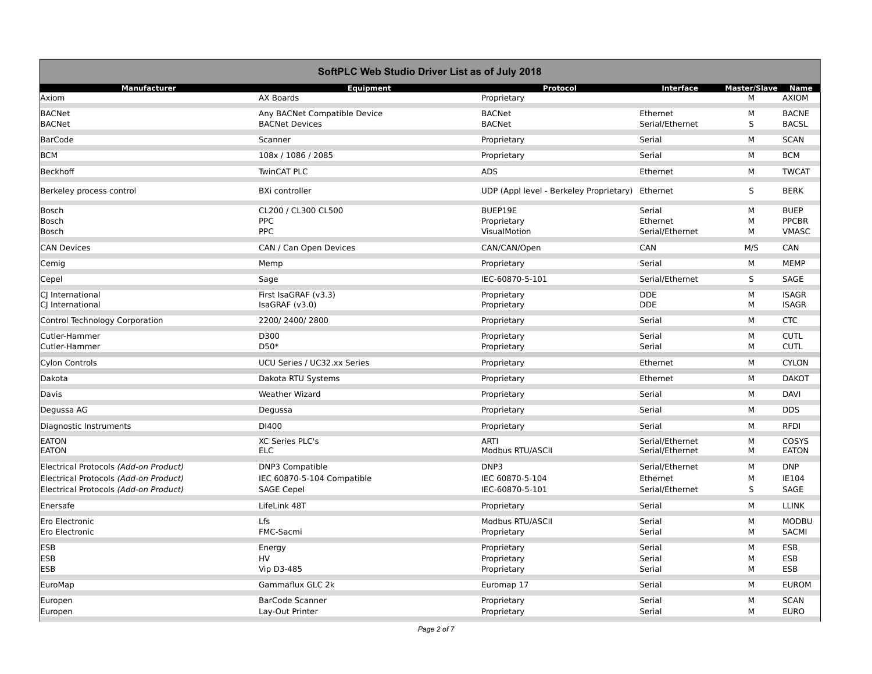| SoftPLC Web Studio Driver List as of July 2018 |                              |                                         |                 |                     |              |
|------------------------------------------------|------------------------------|-----------------------------------------|-----------------|---------------------|--------------|
| Manufacturer                                   | <b>Equipment</b>             | Protocol                                | Interface       | <b>Master/Slave</b> | <b>Name</b>  |
| Axiom                                          | AX Boards                    | Proprietary                             |                 | M                   | <b>AXIOM</b> |
| <b>BACNet</b>                                  | Any BACNet Compatible Device | <b>BACNet</b>                           | Ethernet        | М                   | <b>BACNE</b> |
| <b>BACNet</b>                                  | <b>BACNet Devices</b>        | <b>BACNet</b>                           | Serial/Ethernet | S                   | <b>BACSL</b> |
| <b>BarCode</b>                                 | Scanner                      | Proprietary                             | Serial          | M                   | <b>SCAN</b>  |
| <b>BCM</b>                                     | 108x / 1086 / 2085           | Proprietary                             | Serial          | M                   | <b>BCM</b>   |
| <b>Beckhoff</b>                                | <b>TwinCAT PLC</b>           | <b>ADS</b>                              | Ethernet        | м                   | <b>TWCAT</b> |
| Berkeley process control                       | <b>BXi controller</b>        | UDP (Appl level - Berkeley Proprietary) | Ethernet        | S                   | <b>BERK</b>  |
| Bosch                                          | CL200 / CL300 CL500          | BUEP19E                                 | Serial          | М                   | <b>BUEP</b>  |
| <b>Bosch</b>                                   | <b>PPC</b>                   | Proprietary                             | Ethernet        | М                   | <b>PPCBR</b> |
| <b>Bosch</b>                                   | <b>PPC</b>                   | VisualMotion                            | Serial/Ethernet | M                   | <b>VMASC</b> |
| <b>CAN Devices</b>                             | CAN / Can Open Devices       | CAN/CAN/Open                            | CAN             | M/S                 | CAN          |
| Cemig                                          | Memp                         | Proprietary                             | Serial          | M                   | <b>MEMP</b>  |
| Cepel                                          | Sage                         | IEC-60870-5-101                         | Serial/Ethernet | S                   | SAGE         |
| CJ International                               | First IsaGRAF (v3.3)         | Proprietary                             | <b>DDE</b>      | M                   | <b>ISAGR</b> |
| CJ International                               | IsaGRAF (v3.0)               | Proprietary                             | <b>DDE</b>      | м                   | <b>ISAGR</b> |
| Control Technology Corporation                 | 2200/2400/2800               | Proprietary                             | Serial          | M                   | <b>CTC</b>   |
| Cutler-Hammer                                  | D300                         | Proprietary                             | Serial          | М                   | <b>CUTL</b>  |
| Cutler-Hammer                                  | $D50*$                       | Proprietary                             | Serial          | M                   | <b>CUTL</b>  |
| <b>Cylon Controls</b>                          | UCU Series / UC32.xx Series  | Proprietary                             | Ethernet        | М                   | <b>CYLON</b> |
| Dakota                                         | Dakota RTU Systems           | Proprietary                             | Ethernet        | M                   | <b>DAKOT</b> |
| Davis                                          | <b>Weather Wizard</b>        | Proprietary                             | Serial          | M                   | <b>DAVI</b>  |
| Degussa AG                                     | Degussa                      | Proprietary                             | Serial          | M                   | <b>DDS</b>   |
| Diagnostic Instruments                         | DI400                        | Proprietary                             | Serial          | М                   | <b>RFDI</b>  |
| <b>EATON</b>                                   | XC Series PLC's              | <b>ARTI</b>                             | Serial/Ethernet | М                   | COSYS        |
| <b>EATON</b>                                   | <b>ELC</b>                   | Modbus RTU/ASCII                        | Serial/Ethernet | M                   | <b>EATON</b> |
| Electrical Protocols (Add-on Product)          | <b>DNP3 Compatible</b>       | DNP3                                    | Serial/Ethernet | М                   | <b>DNP</b>   |
| Electrical Protocols (Add-on Product)          | IEC 60870-5-104 Compatible   | IEC 60870-5-104                         | Ethernet        | М                   | IE104        |
| Electrical Protocols (Add-on Product)          | <b>SAGE Cepel</b>            | IEC-60870-5-101                         | Serial/Ethernet | S                   | SAGE         |
| Enersafe                                       | LifeLink 48T                 | Proprietary                             | Serial          | М                   | <b>LLINK</b> |
| Ero Electronic                                 | Lfs                          | Modbus RTU/ASCII                        | Serial          | М                   | <b>MODBU</b> |
| Ero Electronic                                 | FMC-Sacmi                    | Proprietary                             | Serial          | м                   | <b>SACMI</b> |
| <b>ESB</b>                                     | Energy                       | Proprietary                             | Serial          | М                   | ESB          |
| <b>ESB</b>                                     | <b>HV</b>                    | Proprietary                             | Serial          | М                   | ESB          |
| <b>ESB</b>                                     | Vip D3-485                   | Proprietary                             | Serial          | M                   | ESB          |
| EuroMap                                        | Gammaflux GLC 2k             | Euromap 17                              | Serial          | M                   | <b>EUROM</b> |
| Europen                                        | <b>BarCode Scanner</b>       | Proprietary                             | Serial          | М                   | <b>SCAN</b>  |
| Europen                                        | Lay-Out Printer              | Proprietary                             | Serial          | M                   | <b>EURO</b>  |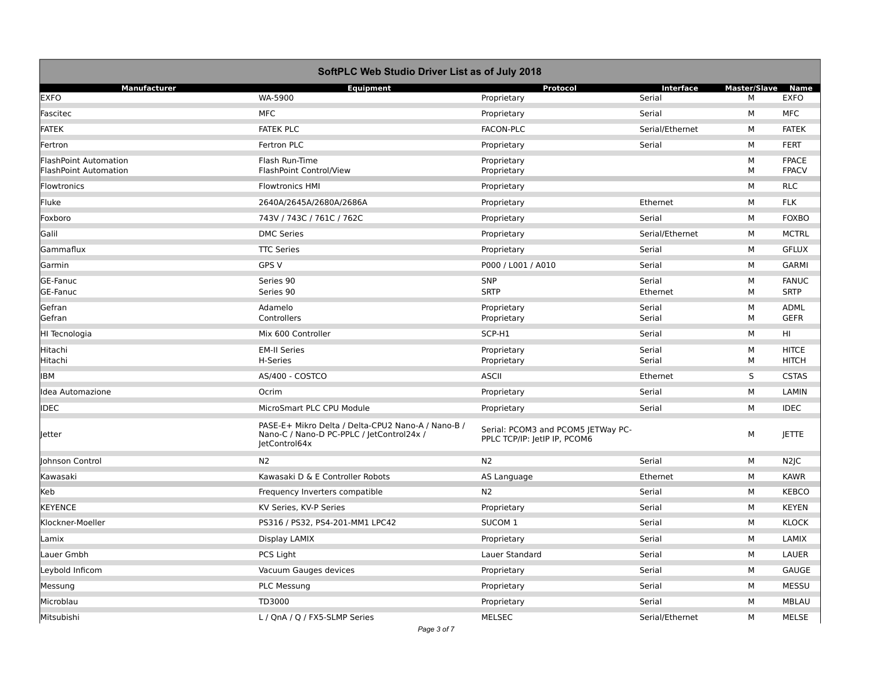| SoftPLC Web Studio Driver List as of July 2018               |                                                                                                                  |                                                                    |                 |                     |                              |  |
|--------------------------------------------------------------|------------------------------------------------------------------------------------------------------------------|--------------------------------------------------------------------|-----------------|---------------------|------------------------------|--|
| <b>Manufacturer</b>                                          | <b>Equipment</b>                                                                                                 | Protocol                                                           | Interface       | <b>Master/Slave</b> | Name                         |  |
| <b>EXFO</b>                                                  | WA-5900                                                                                                          | Proprietary                                                        | Serial          | M                   | <b>EXFO</b>                  |  |
| Fascitec                                                     | <b>MFC</b>                                                                                                       | Proprietary                                                        | Serial          | M                   | <b>MFC</b>                   |  |
| <b>FATEK</b>                                                 | <b>FATEK PLC</b>                                                                                                 | <b>FACON-PLC</b>                                                   | Serial/Ethernet | M                   | <b>FATEK</b>                 |  |
| Fertron                                                      | Fertron PLC                                                                                                      | Proprietary                                                        | Serial          | M                   | <b>FERT</b>                  |  |
| <b>FlashPoint Automation</b><br><b>FlashPoint Automation</b> | Flash Run-Time<br>FlashPoint Control/View                                                                        | Proprietary<br>Proprietary                                         |                 | М<br>M              | <b>FPACE</b><br><b>FPACV</b> |  |
| <b>Flowtronics</b>                                           | <b>Flowtronics HMI</b>                                                                                           | Proprietary                                                        |                 | М                   | <b>RLC</b>                   |  |
| Fluke                                                        | 2640A/2645A/2680A/2686A                                                                                          | Proprietary                                                        | Ethernet        | М                   | <b>FLK</b>                   |  |
| Foxboro                                                      | 743V / 743C / 761C / 762C                                                                                        | Proprietary                                                        | Serial          | М                   | <b>FOXBO</b>                 |  |
| Galil                                                        | <b>DMC Series</b>                                                                                                | Proprietary                                                        | Serial/Ethernet | м                   | <b>MCTRL</b>                 |  |
| Gammaflux                                                    | <b>TTC Series</b>                                                                                                | Proprietary                                                        | Serial          | м                   | <b>GFLUX</b>                 |  |
| Garmin                                                       | GPS V                                                                                                            | P000 / L001 / A010                                                 | Serial          | м                   | <b>GARMI</b>                 |  |
| GE-Fanuc                                                     | Series 90                                                                                                        | <b>SNP</b>                                                         | Serial          | М                   | <b>FANUC</b>                 |  |
| GE-Fanuc                                                     | Series 90                                                                                                        | <b>SRTP</b>                                                        | Ethernet        | M                   | <b>SRTP</b>                  |  |
| Gefran                                                       | Adamelo                                                                                                          | Proprietary                                                        | Serial          | М                   | ADML                         |  |
| Gefran                                                       | Controllers                                                                                                      | Proprietary                                                        | Serial          | м                   | <b>GEFR</b>                  |  |
| HI Tecnologia                                                | Mix 600 Controller                                                                                               | SCP-H1                                                             | Serial          | М                   | HI                           |  |
| Hitachi                                                      | <b>EM-II Series</b>                                                                                              | Proprietary                                                        | Serial          | М                   | <b>HITCE</b>                 |  |
| Hitachi                                                      | H-Series                                                                                                         | Proprietary                                                        | Serial          | M                   | <b>HITCH</b>                 |  |
| <b>IBM</b>                                                   | AS/400 - COSTCO                                                                                                  | <b>ASCII</b>                                                       | Ethernet        | S                   | <b>CSTAS</b>                 |  |
| Idea Automazione                                             | Ocrim                                                                                                            | Proprietary                                                        | Serial          | M                   | LAMIN                        |  |
| <b>IDEC</b>                                                  | MicroSmart PLC CPU Module                                                                                        | Proprietary                                                        | Serial          | M                   | <b>IDEC</b>                  |  |
| <b>Jetter</b>                                                | PASE-E+ Mikro Delta / Delta-CPU2 Nano-A / Nano-B /<br>Nano-C / Nano-D PC-PPLC / JetControl24x /<br>JetControl64x | Serial: PCOM3 and PCOM5 JETWay PC-<br>PPLC TCP/IP: JetIP IP, PCOM6 |                 | М                   | <b>JETTE</b>                 |  |
| Johnson Control                                              | N2                                                                                                               | N <sub>2</sub>                                                     | Serial          | М                   | N <sub>2</sub> JC            |  |
| Kawasaki                                                     | Kawasaki D & E Controller Robots                                                                                 | AS Language                                                        | Ethernet        | М                   | <b>KAWR</b>                  |  |
| Keb                                                          | Frequency Inverters compatible                                                                                   | N <sub>2</sub>                                                     | Serial          | м                   | <b>KEBCO</b>                 |  |
| <b>KEYENCE</b>                                               | KV Series, KV-P Series                                                                                           | Proprietary                                                        | Serial          | м                   | <b>KEYEN</b>                 |  |
| Klockner-Moeller                                             | PS316 / PS32, PS4-201-MM1 LPC42                                                                                  | SUCOM <sub>1</sub>                                                 | Serial          | M                   | <b>KLOCK</b>                 |  |
| Lamix                                                        | Display LAMIX                                                                                                    | Proprietary                                                        | Serial          | м                   | LAMIX                        |  |
| Lauer Gmbh                                                   | PCS Light                                                                                                        | Lauer Standard                                                     | Serial          | М                   | LAUER                        |  |
| Leybold Inficom                                              | Vacuum Gauges devices                                                                                            | Proprietary                                                        | Serial          | М                   | <b>GAUGE</b>                 |  |
| Messung                                                      | <b>PLC Messung</b>                                                                                               | Proprietary                                                        | Serial          | М                   | <b>MESSU</b>                 |  |
| Microblau                                                    | TD3000                                                                                                           | Proprietary                                                        | Serial          | М                   | MBLAU                        |  |
| Mitsubishi                                                   | L / QnA / Q / FX5-SLMP Series                                                                                    | MELSEC                                                             | Serial/Ethernet | М                   | <b>MELSE</b>                 |  |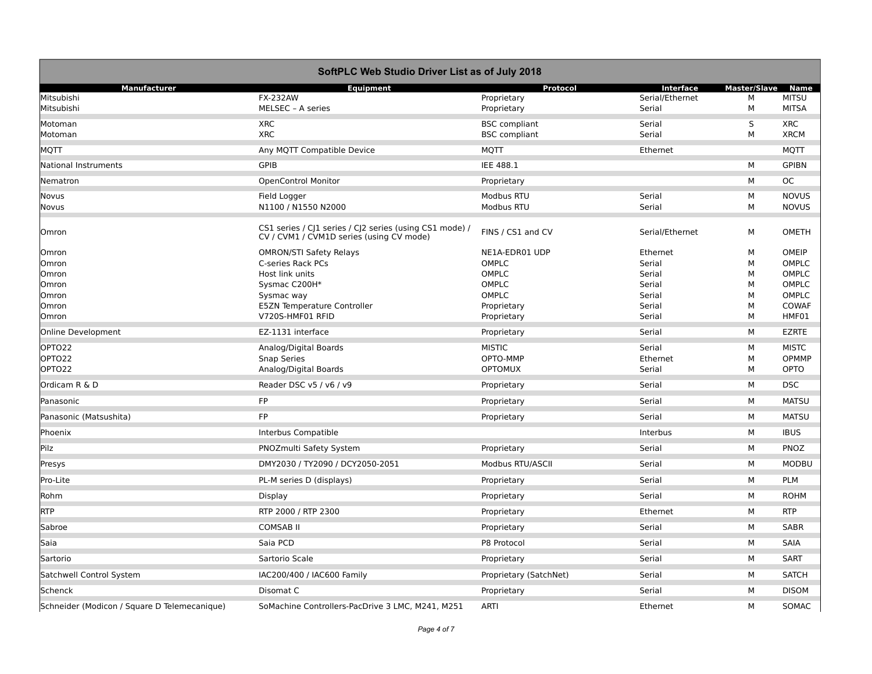| SoftPLC Web Studio Driver List as of July 2018 |                                                                                                     |                        |                 |                     |              |  |
|------------------------------------------------|-----------------------------------------------------------------------------------------------------|------------------------|-----------------|---------------------|--------------|--|
| <b>Manufacturer</b>                            | <b>Equipment</b>                                                                                    | Protocol               | Interface       | <b>Master/Slave</b> | <b>Name</b>  |  |
| Mitsubishi                                     | <b>FX-232AW</b>                                                                                     | Proprietary            | Serial/Ethernet | М                   | <b>MITSU</b> |  |
| Mitsubishi                                     | MELSEC - A series                                                                                   | Proprietary            | Serial          | М                   | <b>MITSA</b> |  |
| Motoman                                        | <b>XRC</b>                                                                                          | <b>BSC</b> compliant   | Serial          | S                   | <b>XRC</b>   |  |
| Motoman                                        | <b>XRC</b>                                                                                          | <b>BSC</b> compliant   | Serial          | М                   | <b>XRCM</b>  |  |
| MQTT                                           | Any MQTT Compatible Device                                                                          | <b>MQTT</b>            | Ethernet        |                     | <b>MQTT</b>  |  |
| <b>National Instruments</b>                    | <b>GPIB</b>                                                                                         | IEE 488.1              |                 | М                   | <b>GPIBN</b> |  |
| Nematron                                       | <b>OpenControl Monitor</b>                                                                          | Proprietary            |                 | М                   | <b>OC</b>    |  |
| Novus                                          | Field Logger                                                                                        | Modbus RTU             | Serial          | М                   | <b>NOVUS</b> |  |
| Novus                                          | N1100 / N1550 N2000                                                                                 | Modbus RTU             | Serial          | М                   | <b>NOVUS</b> |  |
| Omron                                          | CS1 series / CJ1 series / CJ2 series (using CS1 mode) /<br>CV / CVM1 / CVM1D series (using CV mode) | FINS / CS1 and CV      | Serial/Ethernet | м                   | <b>OMETH</b> |  |
| Omron                                          | <b>OMRON/STI Safety Relays</b>                                                                      | NE1A-EDR01 UDP         | Ethernet        | М                   | OMEIP        |  |
| Omron                                          | C-series Rack PCs                                                                                   | OMPLC                  | Serial          | М                   | OMPLC        |  |
| Omron                                          | Host link units                                                                                     | OMPLC                  | Serial          | м                   | OMPLC        |  |
| Omron                                          | Sysmac C200H*                                                                                       | OMPLC                  | Serial          | М                   | OMPLC        |  |
| Omron                                          | Sysmac way                                                                                          | OMPLC                  | Serial          | M                   | OMPLC        |  |
| Omron                                          | E5ZN Temperature Controller                                                                         | Proprietary            | Serial          | M                   | <b>COWAF</b> |  |
| Omron                                          | V720S-HMF01 RFID                                                                                    | Proprietary            | Serial          | M                   | HMF01        |  |
| <b>Online Development</b>                      | EZ-1131 interface                                                                                   | Proprietary            | Serial          | M                   | <b>EZRTE</b> |  |
| OPTO22                                         | Analog/Digital Boards                                                                               | <b>MISTIC</b>          | Serial          | M                   | <b>MISTC</b> |  |
| OPTO22                                         | <b>Snap Series</b>                                                                                  | OPTO-MMP               | Ethernet        | М                   | <b>OPMMP</b> |  |
| OPTO22                                         | Analog/Digital Boards                                                                               | <b>OPTOMUX</b>         | Serial          | М                   | OPTO         |  |
| Ordicam R & D                                  | Reader DSC v5 / v6 / v9                                                                             | Proprietary            | Serial          | M                   | <b>DSC</b>   |  |
| Panasonic                                      | FP                                                                                                  | Proprietary            | Serial          | М                   | <b>MATSU</b> |  |
| Panasonic (Matsushita)                         | <b>FP</b>                                                                                           | Proprietary            | Serial          | М                   | <b>MATSU</b> |  |
| Phoenix                                        | Interbus Compatible                                                                                 |                        | Interbus        | М                   | <b>IBUS</b>  |  |
| Pilz                                           | PNOZmulti Safety System                                                                             | Proprietary            | Serial          | M                   | PNOZ         |  |
| Presys                                         | DMY2030 / TY2090 / DCY2050-2051                                                                     | Modbus RTU/ASCII       | Serial          | М                   | <b>MODBU</b> |  |
| Pro-Lite                                       | PL-M series D (displays)                                                                            | Proprietary            | Serial          | M                   | <b>PLM</b>   |  |
| Rohm                                           | Display                                                                                             | Proprietary            | Serial          | М                   | <b>ROHM</b>  |  |
| <b>RTP</b>                                     | RTP 2000 / RTP 2300                                                                                 | Proprietary            | Ethernet        | М                   | <b>RTP</b>   |  |
| Sabroe                                         | <b>COMSAB II</b>                                                                                    | Proprietary            | Serial          | М                   | <b>SABR</b>  |  |
| Saia                                           | Saia PCD                                                                                            | P8 Protocol            | Serial          | M                   | SAIA         |  |
| Sartorio                                       | Sartorio Scale                                                                                      | Proprietary            | Serial          | м                   | <b>SART</b>  |  |
| Satchwell Control System                       | IAC200/400 / IAC600 Family                                                                          | Proprietary (SatchNet) | Serial          | М                   | <b>SATCH</b> |  |
| Schenck                                        | Disomat C                                                                                           | Proprietary            | Serial          | М                   | <b>DISOM</b> |  |
| Schneider (Modicon / Square D Telemecanique)   | SoMachine Controllers-PacDrive 3 LMC, M241, M251                                                    | <b>ARTI</b>            | Ethernet        | M                   | SOMAC        |  |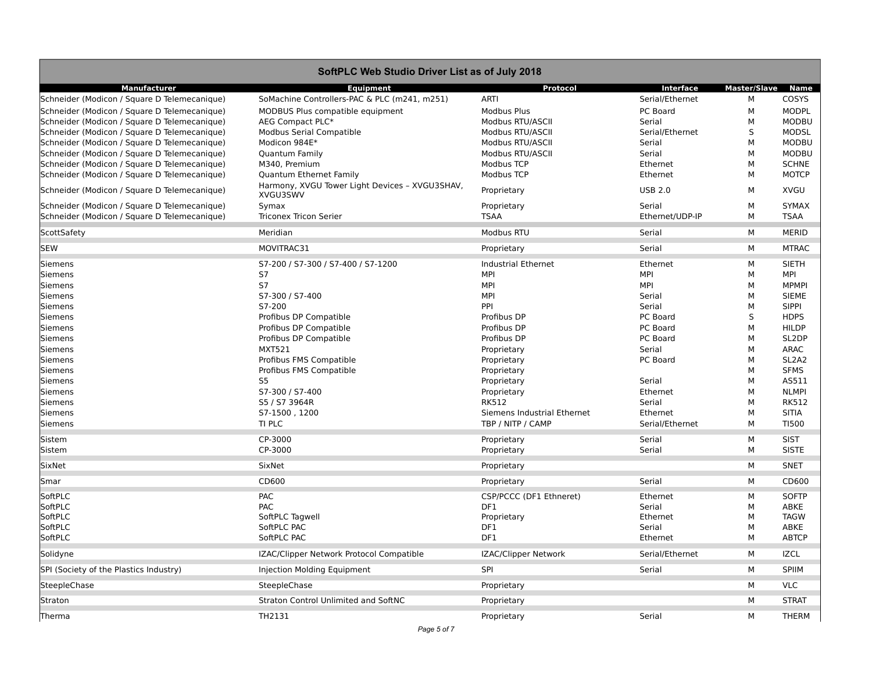|                                              | SoftPLC Web Studio Driver List as of July 2018             |                             |                 |                     |                                |
|----------------------------------------------|------------------------------------------------------------|-----------------------------|-----------------|---------------------|--------------------------------|
| <b>Manufacturer</b>                          | Equipment                                                  | Protocol                    | Interface       | <b>Master/Slave</b> | Name                           |
| Schneider (Modicon / Square D Telemecanique) | SoMachine Controllers-PAC & PLC (m241, m251)               | <b>ARTI</b>                 | Serial/Ethernet | М                   | COSYS                          |
| Schneider (Modicon / Square D Telemecanique) | MODBUS Plus compatible equipment                           | <b>Modbus Plus</b>          | PC Board        | М                   | <b>MODPL</b>                   |
| Schneider (Modicon / Square D Telemecanique) | AEG Compact PLC*                                           | Modbus RTU/ASCII            | Serial          | M                   | <b>MODBU</b>                   |
| Schneider (Modicon / Square D Telemecanique) | <b>Modbus Serial Compatible</b>                            | Modbus RTU/ASCII            | Serial/Ethernet | S                   | <b>MODSL</b>                   |
| Schneider (Modicon / Square D Telemecanique) | Modicon 984E*                                              | Modbus RTU/ASCII            | Serial          | М                   | <b>MODBU</b>                   |
| Schneider (Modicon / Square D Telemecanique) | Quantum Family                                             | Modbus RTU/ASCII            | Serial          | M                   | <b>MODBU</b>                   |
| Schneider (Modicon / Square D Telemecanique) | M340, Premium                                              | Modbus TCP                  | Ethernet        | M                   | <b>SCHNE</b>                   |
| Schneider (Modicon / Square D Telemecanique) | Quantum Ethernet Family                                    | Modbus TCP                  | Ethernet        | М                   | <b>MOTCP</b>                   |
| Schneider (Modicon / Square D Telemecanique) | Harmony, XVGU Tower Light Devices - XVGU3SHAV,<br>XVGU3SWV | Proprietary                 | <b>USB 2.0</b>  | М                   | <b>XVGU</b>                    |
| Schneider (Modicon / Square D Telemecanique) | Symax                                                      | Proprietary                 | Serial          | М                   | <b>SYMAX</b>                   |
| Schneider (Modicon / Square D Telemecanique) | <b>Triconex Tricon Serier</b>                              | <b>TSAA</b>                 | Ethernet/UDP-IP | М                   | <b>TSAA</b>                    |
| ScottSafety                                  | Meridian                                                   | Modbus RTU                  | Serial          | М                   | <b>MERID</b>                   |
| <b>SEW</b>                                   | MOVITRAC31                                                 | Proprietary                 | Serial          | М                   | <b>MTRAC</b>                   |
| <b>Siemens</b>                               | S7-200 / S7-300 / S7-400 / S7-1200                         | <b>Industrial Ethernet</b>  | Ethernet        | М                   | <b>SIETH</b>                   |
| <b>Siemens</b>                               | S7                                                         | <b>MPI</b>                  | <b>MPI</b>      | М                   | MPI                            |
| <b>Siemens</b>                               | <b>S7</b>                                                  | <b>MPI</b>                  | <b>MPI</b>      | M                   | <b>MPMPI</b>                   |
| <b>Siemens</b>                               | S7-300 / S7-400                                            | <b>MPI</b>                  | Serial          | M                   | <b>SIEME</b>                   |
| <b>Siemens</b>                               | S7-200                                                     | PPI                         | Serial          | M                   | <b>SIPPI</b>                   |
| <b>Siemens</b>                               | Profibus DP Compatible                                     | Profibus DP                 | PC Board        | S                   | <b>HDPS</b>                    |
| <b>Siemens</b>                               | Profibus DP Compatible                                     | Profibus DP                 | PC Board        | M                   | <b>HILDP</b>                   |
| <b>Siemens</b>                               | Profibus DP Compatible                                     | Profibus DP                 | PC Board        | M                   | SL <sub>2</sub> DP             |
| <b>Siemens</b>                               | <b>MXT521</b>                                              | Proprietary                 | Serial          | M                   | <b>ARAC</b>                    |
| <b>Siemens</b>                               | Profibus FMS Compatible                                    | Proprietary                 | PC Board        | M                   | SL <sub>2</sub> A <sub>2</sub> |
| <b>Siemens</b>                               | Profibus FMS Compatible                                    | Proprietary                 |                 | M                   | <b>SFMS</b>                    |
| <b>Siemens</b>                               | S <sub>5</sub>                                             | Proprietary                 | Serial          | M                   | AS511                          |
| <b>Siemens</b>                               | S7-300 / S7-400                                            | Proprietary                 | Ethernet        | M                   | <b>NLMPI</b>                   |
| <b>Siemens</b>                               | S5 / S7 3964R                                              | <b>RK512</b>                | Serial          | M                   | <b>RK512</b>                   |
| <b>Siemens</b>                               | S7-1500, 1200                                              | Siemens Industrial Ethernet | Ethernet        | M                   | <b>SITIA</b>                   |
| <b>Siemens</b>                               | TI PLC                                                     | TBP / NITP / CAMP           | Serial/Ethernet | M                   | TI500                          |
| Sistem                                       | CP-3000                                                    | Proprietary                 | Serial          | M                   | <b>SIST</b>                    |
| Sistem                                       | CP-3000                                                    | Proprietary                 | Serial          | М                   | <b>SISTE</b>                   |
| SixNet                                       | SixNet                                                     | Proprietary                 |                 | M                   | SNET                           |
| Smar                                         | CD600                                                      | Proprietary                 | Serial          | M                   | CD600                          |
| SoftPLC                                      | PAC                                                        | CSP/PCCC (DF1 Ethneret)     | Ethernet        | М                   | <b>SOFTP</b>                   |
| SoftPLC                                      | PAC                                                        | DF1                         | Serial          | М                   | ABKE                           |
| SoftPLC                                      | SoftPLC Tagwell                                            | Proprietary                 | Ethernet        | M                   | <b>TAGW</b>                    |
| SoftPLC                                      | SoftPLC PAC                                                | DF1                         | Serial          | M                   | ABKE                           |
| SoftPLC                                      | SoftPLC PAC                                                | DF1                         | Ethernet        | M                   | <b>ABTCP</b>                   |
| Solidyne                                     | IZAC/Clipper Network Protocol Compatible                   | <b>IZAC/Clipper Network</b> | Serial/Ethernet | M                   | <b>IZCL</b>                    |
| SPI (Society of the Plastics Industry)       | Injection Molding Equipment                                | SPI                         | Serial          | M                   | SPIIM                          |
| SteepleChase                                 | SteepleChase                                               | Proprietary                 |                 | М                   | <b>VLC</b>                     |
| Straton                                      | <b>Straton Control Unlimited and SoftNC</b>                | Proprietary                 |                 | M                   | <b>STRAT</b>                   |
| Therma                                       | TH2131                                                     | Proprietary                 | Serial          | М                   | <b>THERM</b>                   |
|                                              | Page 5 of 7                                                |                             |                 |                     |                                |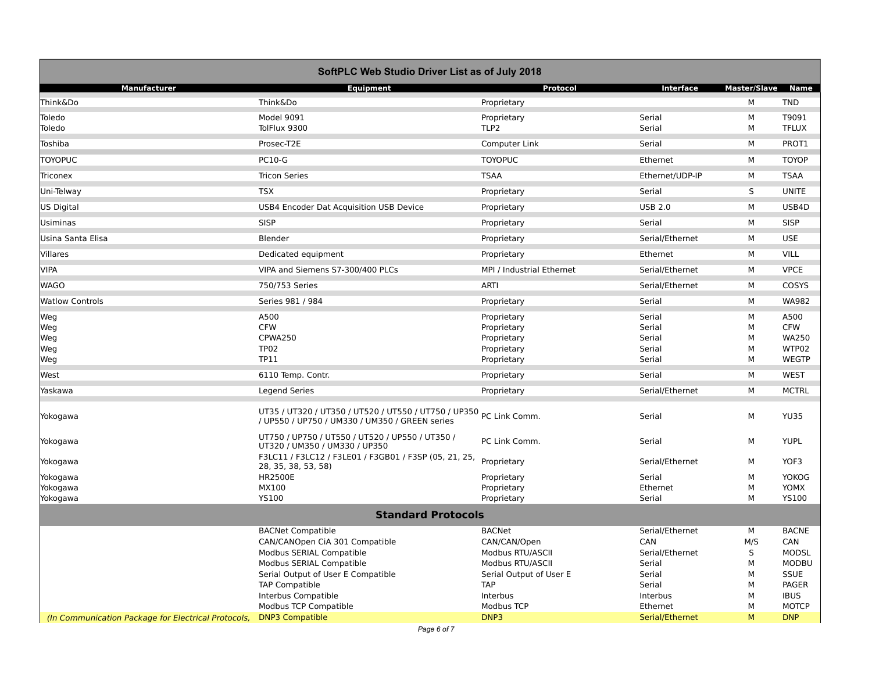|                                                     | SoftPLC Web Studio Driver List as of July 2018                                                                       |                           |                 |                          |              |
|-----------------------------------------------------|----------------------------------------------------------------------------------------------------------------------|---------------------------|-----------------|--------------------------|--------------|
| <b>Manufacturer</b>                                 | <b>Equipment</b>                                                                                                     | Protocol                  | Interface       | <b>Master/Slave Name</b> |              |
| Think&Do                                            | Think&Do                                                                                                             | Proprietary               |                 | M                        | <b>TND</b>   |
| Toledo                                              | Model 9091                                                                                                           | Proprietary               | Serial          | М                        | T9091        |
| Toledo                                              | TolFlux 9300                                                                                                         | TLP <sub>2</sub>          | Serial          | M                        | <b>TFLUX</b> |
| Toshiba                                             | Prosec-T2E                                                                                                           | Computer Link             | Serial          | M                        | PROT1        |
| <b>TOYOPUC</b>                                      | <b>PC10-G</b>                                                                                                        | <b>TOYOPUC</b>            | Ethernet        | M                        | <b>TOYOP</b> |
| <b>Triconex</b>                                     | <b>Tricon Series</b>                                                                                                 | <b>TSAA</b>               | Ethernet/UDP-IP | M                        | <b>TSAA</b>  |
| Uni-Telway                                          | <b>TSX</b>                                                                                                           | Proprietary               | Serial          | S                        | <b>UNITE</b> |
| <b>US Digital</b>                                   | USB4 Encoder Dat Acquisition USB Device                                                                              | Proprietary               | <b>USB 2.0</b>  | M                        | USB4D        |
| <b>Usiminas</b>                                     | <b>SISP</b>                                                                                                          | Proprietary               | Serial          | М                        | <b>SISP</b>  |
| Usina Santa Elisa                                   | Blender                                                                                                              | Proprietary               | Serial/Ethernet | М                        | <b>USE</b>   |
| Villares                                            | Dedicated equipment                                                                                                  | Proprietary               | Ethernet        | М                        | <b>VILL</b>  |
| <b>VIPA</b>                                         | VIPA and Siemens S7-300/400 PLCs                                                                                     | MPI / Industrial Ethernet | Serial/Ethernet | М                        | <b>VPCE</b>  |
| <b>WAGO</b>                                         | 750/753 Series                                                                                                       | <b>ARTI</b>               | Serial/Ethernet | М                        | COSYS        |
| <b>Watlow Controls</b>                              | Series 981 / 984                                                                                                     | Proprietary               | Serial          | М                        | <b>WA982</b> |
| Weg                                                 | A500                                                                                                                 | Proprietary               | Serial          | М                        | A500         |
| Weg                                                 | <b>CFW</b>                                                                                                           | Proprietary               | Serial          | М                        | <b>CFW</b>   |
| Weg                                                 | CPWA250                                                                                                              | Proprietary               | Serial          | M                        | <b>WA250</b> |
| Weg                                                 | <b>TP02</b>                                                                                                          | Proprietary               | Serial          | M                        | WTP02        |
| Weg                                                 | TP11                                                                                                                 | Proprietary               | Serial          | М                        | <b>WEGTP</b> |
| West                                                | 6110 Temp. Contr.                                                                                                    | Proprietary               | Serial          | М                        | <b>WEST</b>  |
| Yaskawa                                             | <b>Legend Series</b>                                                                                                 | Proprietary               | Serial/Ethernet | М                        | <b>MCTRL</b> |
| Yokogawa                                            | UT35 / UT320 / UT350 / UT520 / UT550 / UT750 / UP350 PC Link Comm.<br>/ UP550 / UP750 / UM330 / UM350 / GREEN series |                           | Serial          | М                        | <b>YU35</b>  |
| Yokogawa                                            | UT750 / UP750 / UT550 / UT520 / UP550 / UT350 /<br>UT320 / UM350 / UM330 / UP350                                     | PC Link Comm.             | Serial          | M                        | <b>YUPL</b>  |
| Yokogawa                                            | F3LC11 / F3LC12 / F3LE01 / F3GB01 / F3SP (05, 21, 25,<br>28, 35, 38, 53, 58)                                         | Proprietary               | Serial/Ethernet | М                        | YOF3         |
| Yokogawa                                            | <b>HR2500E</b>                                                                                                       | Proprietary               | Serial          | М                        | <b>YOKOG</b> |
| Yokogawa                                            | MX100                                                                                                                | Proprietary               | Ethernet        | М                        | YOMX         |
| Yokogawa                                            | <b>YS100</b>                                                                                                         | Proprietary               | Serial          | M                        | <b>YS100</b> |
|                                                     | <b>Standard Protocols</b>                                                                                            |                           |                 |                          |              |
|                                                     | <b>BACNet Compatible</b>                                                                                             | <b>BACNet</b>             | Serial/Ethernet | М                        | <b>BACNE</b> |
|                                                     | CAN/CANOpen CiA 301 Compatible                                                                                       | CAN/CAN/Open              | CAN             | M/S                      | CAN          |
|                                                     | Modbus SERIAL Compatible                                                                                             | Modbus RTU/ASCII          | Serial/Ethernet | S                        | <b>MODSL</b> |
|                                                     | Modbus SERIAL Compatible                                                                                             | Modbus RTU/ASCII          | Serial          | М                        | <b>MODBU</b> |
|                                                     | Serial Output of User E Compatible                                                                                   | Serial Output of User E   | Serial          | М                        | <b>SSUE</b>  |
|                                                     | <b>TAP Compatible</b>                                                                                                | <b>TAP</b>                | Serial          | M                        | PAGER        |
|                                                     | Interbus Compatible                                                                                                  | Interbus                  | Interbus        | М                        | <b>IBUS</b>  |
|                                                     | <b>Modbus TCP Compatible</b>                                                                                         | Modbus TCP                | Ethernet        | M                        | <b>MOTCP</b> |
| (In Communication Package for Electrical Protocols, | <b>DNP3 Compatible</b>                                                                                               | DNP3                      | Serial/Ethernet | M                        | <b>DNP</b>   |
|                                                     |                                                                                                                      |                           |                 |                          |              |